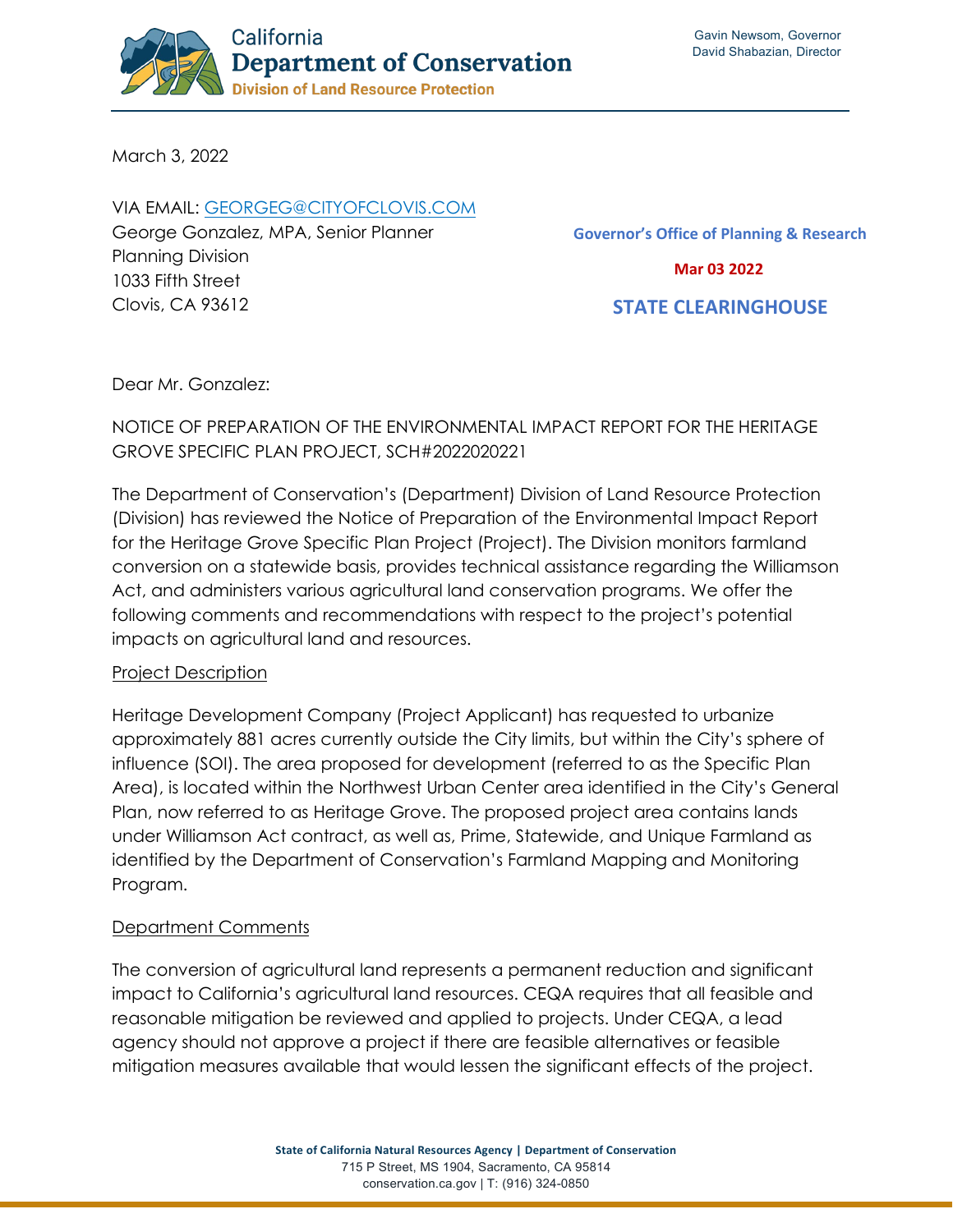

March 3, 2022

VIA EMAIL: [GEORGEG@CITYOFCLOVIS.COM](mailto:georgeg@cityofclovis.com) George Gonzalez, MPA, Senior Planner Planning Division 1033 Fifth Street Clovis, CA 93612

**Governor's Office of Planning & Research Mar 03 2022 STATE CLEARINGHOUSE**

Dear Mr. Gonzalez:

# NOTICE OF PREPARATION OF THE ENVIRONMENTAL IMPACT REPORT FOR THE HERITAGE GROVE SPECIFIC PLAN PROJECT, SCH#2022020221

The Department of Conservation's (Department) Division of Land Resource Protection (Division) has reviewed the Notice of Preparation of the Environmental Impact Report for the Heritage Grove Specific Plan Project (Project). The Division monitors farmland conversion on a statewide basis, provides technical assistance regarding the Williamson Act, and administers various agricultural land conservation programs. We offer the following comments and recommendations with respect to the project's potential impacts on agricultural land and resources.

## Project Description

Heritage Development Company (Project Applicant) has requested to urbanize approximately 881 acres currently outside the City limits, but within the City's sphere of influence (SOI). The area proposed for development (referred to as the Specific Plan Area), is located within the Northwest Urban Center area identified in the City's General Plan, now referred to as Heritage Grove. The proposed project area contains lands under Williamson Act contract, as well as, Prime, Statewide, and Unique Farmland as identified by the Department of Conservation's Farmland Mapping and Monitoring Program.

## Department Comments

The conversion of agricultural land represents a permanent reduction and significant impact to California's agricultural land resources. CEQA requires that all feasible and reasonable mitigation be reviewed and applied to projects. Under CEQA, a lead agency should not approve a project if there are feasible alternatives or feasible mitigation measures available that would lessen the significant effects of the project.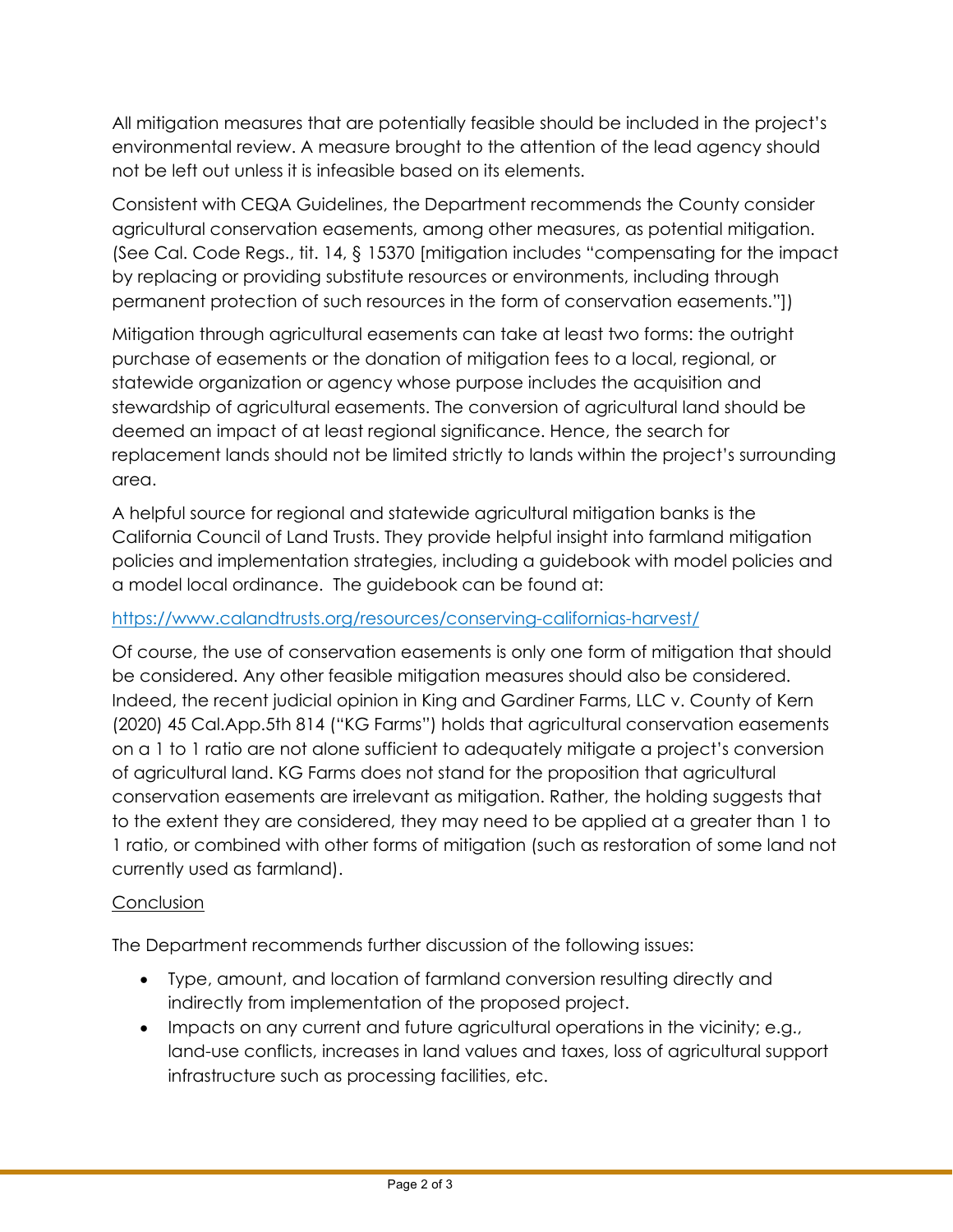All mitigation measures that are potentially feasible should be included in the project's environmental review. A measure brought to the attention of the lead agency should not be left out unless it is infeasible based on its elements.

Consistent with CEQA Guidelines, the Department recommends the County consider agricultural conservation easements, among other measures, as potential mitigation. (See Cal. Code Regs., tit. 14, § 15370 [mitigation includes "compensating for the impact by replacing or providing substitute resources or environments, including through permanent protection of such resources in the form of conservation easements."])

Mitigation through agricultural easements can take at least two forms: the outright purchase of easements or the donation of mitigation fees to a local, regional, or statewide organization or agency whose purpose includes the acquisition and stewardship of agricultural easements. The conversion of agricultural land should be deemed an impact of at least regional significance. Hence, the search for replacement lands should not be limited strictly to lands within the project's surrounding area.

A helpful source for regional and statewide agricultural mitigation banks is the California Council of Land Trusts. They provide helpful insight into farmland mitigation policies and implementation strategies, including a guidebook with model policies and a model local ordinance. The guidebook can be found at:

## <https://www.calandtrusts.org/resources/conserving-californias-harvest/>

Of course, the use of conservation easements is only one form of mitigation that should be considered. Any other feasible mitigation measures should also be considered. Indeed, the recent judicial opinion in King and Gardiner Farms, LLC v. County of Kern (2020) 45 Cal.App.5th 814 ("KG Farms") holds that agricultural conservation easements on a 1 to 1 ratio are not alone sufficient to adequately mitigate a project's conversion of agricultural land. KG Farms does not stand for the proposition that agricultural conservation easements are irrelevant as mitigation. Rather, the holding suggests that to the extent they are considered, they may need to be applied at a greater than 1 to 1 ratio, or combined with other forms of mitigation (such as restoration of some land not currently used as farmland).

## **Conclusion**

The Department recommends further discussion of the following issues:

- Type, amount, and location of farmland conversion resulting directly and indirectly from implementation of the proposed project.
- Impacts on any current and future agricultural operations in the vicinity; e.g., land-use conflicts, increases in land values and taxes, loss of agricultural support infrastructure such as processing facilities, etc.